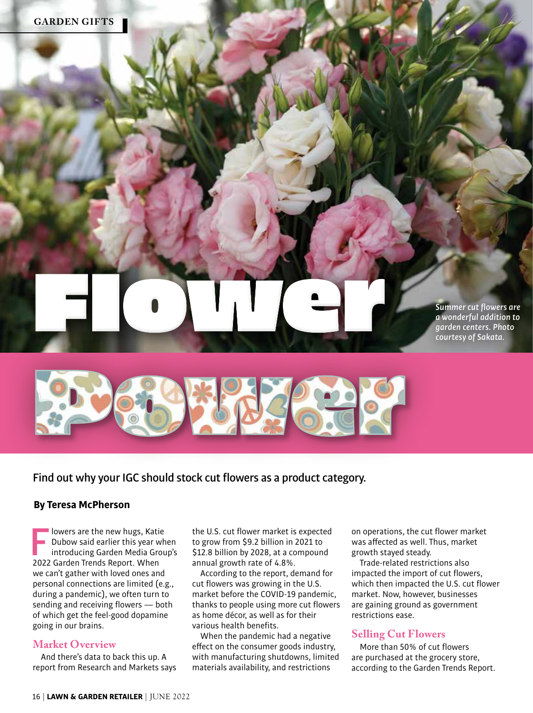*Summer cut flowers are a wonderful addition to garden centers. Photo courtesy of Sakata.*



Flower

Find out why your IGC should stock cut flowers as a product category.

## **By Teresa McPherson**

Iowers are the new hugs, Katie<br>
Dubow said earlier this year when<br>
introducing Garden Media Group's<br>
2022 Garden Trends Beport When Dubow said earlier this year when 2022 Garden Trends Report. When we can't gather with loved ones and personal connections are limited (e.g., during a pandemic), we often turn to sending and receiving flowers — both of which get the feel-good dopamine going in our brains.

# **Market Overview**

And there's data to back this up. A report from Research and Markets says the U.S. cut flower market is expected to grow from \$9.2 billion in 2021 to \$12.8 billion by 2028, at a compound annual growth rate of 4.8%.

According to the report, demand for cut flowers was growing in the U.S. market before the COVID-19 pandemic, thanks to people using more cut flowers as home décor, as well as for their various health benefits.

When the pandemic had a negative effect on the consumer goods industry, with manufacturing shutdowns, limited materials availability, and restrictions

on operations, the cut flower market was affected as well. Thus, market growth stayed steady.

Trade-related restrictions also impacted the import of cut flowers, which then impacted the U.S. cut flower market. Now, however, businesses are gaining ground as government restrictions ease.

# **Selling Cut Flowers**

More than 50% of cut flowers are purchased at the grocery store, according to the Garden Trends Report.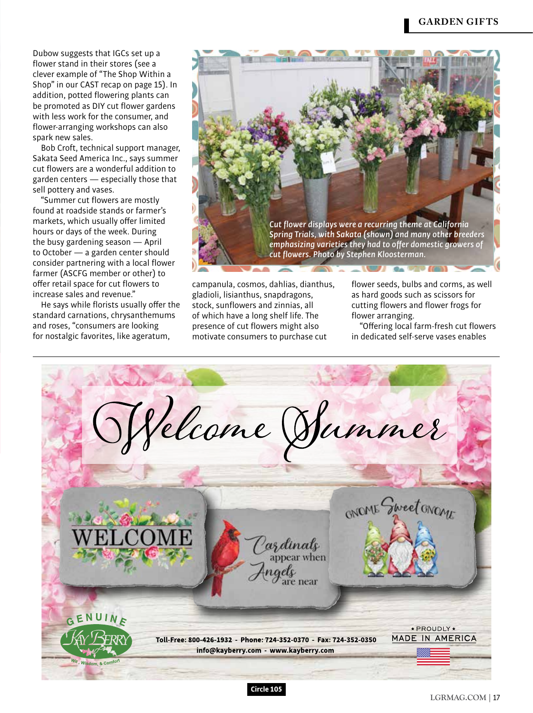Dubow suggests that IGCs set up a flower stand in their stores (see a clever example of "The Shop Within a Shop" in our CAST recap on page 15). In addition, potted flowering plants can be promoted as DIY cut flower gardens with less work for the consumer, and flower-arranging workshops can also spark new sales.

Bob Croft, technical support manager, Sakata Seed America Inc., says summer cut flowers are a wonderful addition to garden centers — especially those that sell pottery and vases.

"Summer cut flowers are mostly found at roadside stands or farmer's markets, which usually offer limited hours or days of the week. During the busy gardening season — April to October — a garden center should consider partnering with a local flower farmer (ASCFG member or other) to offer retail space for cut flowers to increase sales and revenue."

He says while florists usually offer the standard carnations, chrysanthemums and roses, "consumers are looking for nostalgic favorites, like ageratum,



campanula, cosmos, dahlias, dianthus, gladioli, lisianthus, snapdragons, stock, sunflowers and zinnias, all of which have a long shelf life. The presence of cut flowers might also motivate consumers to purchase cut

flower seeds, bulbs and corms, as well as hard goods such as scissors for cutting flowers and flower frogs for flower arranging.

"Offering local farm-fresh cut flowers in dedicated self-serve vases enables



 $\text{LGRMAG. COM} \mid 17$